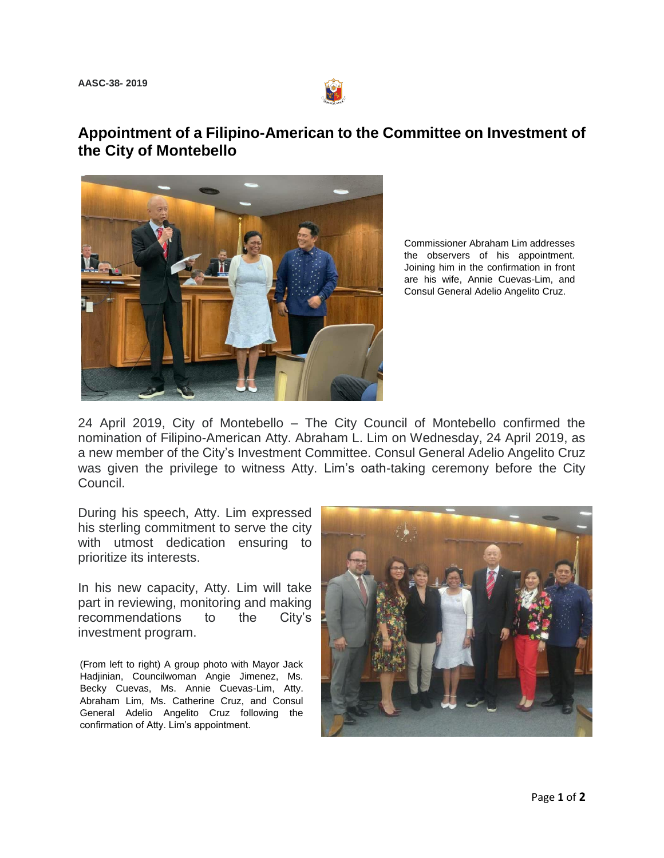

## **Appointment of a Filipino-American to the Committee on Investment of the City of Montebello**



Commissioner Abraham Lim addresses the observers of his appointment. Joining him in the confirmation in front are his wife, Annie Cuevas-Lim, and Consul General Adelio Angelito Cruz.

24 April 2019, City of Montebello – The City Council of Montebello confirmed the nomination of Filipino-American Atty. Abraham L. Lim on Wednesday, 24 April 2019, as a new member of the City's Investment Committee. Consul General Adelio Angelito Cruz was given the privilege to witness Atty. Lim's oath-taking ceremony before the City Council.

During his speech, Atty. Lim expressed his sterling commitment to serve the city with utmost dedication ensuring to prioritize its interests.

In his new capacity, Atty. Lim will take part in reviewing, monitoring and making recommendations to the City's investment program.

(From left to right) A group photo with Mayor Jack Hadjinian, Councilwoman Angie Jimenez, Ms. Becky Cuevas, Ms. Annie Cuevas-Lim, Atty. Abraham Lim, Ms. Catherine Cruz, and Consul General Adelio Angelito Cruz following the confirmation of Atty. Lim's appointment.